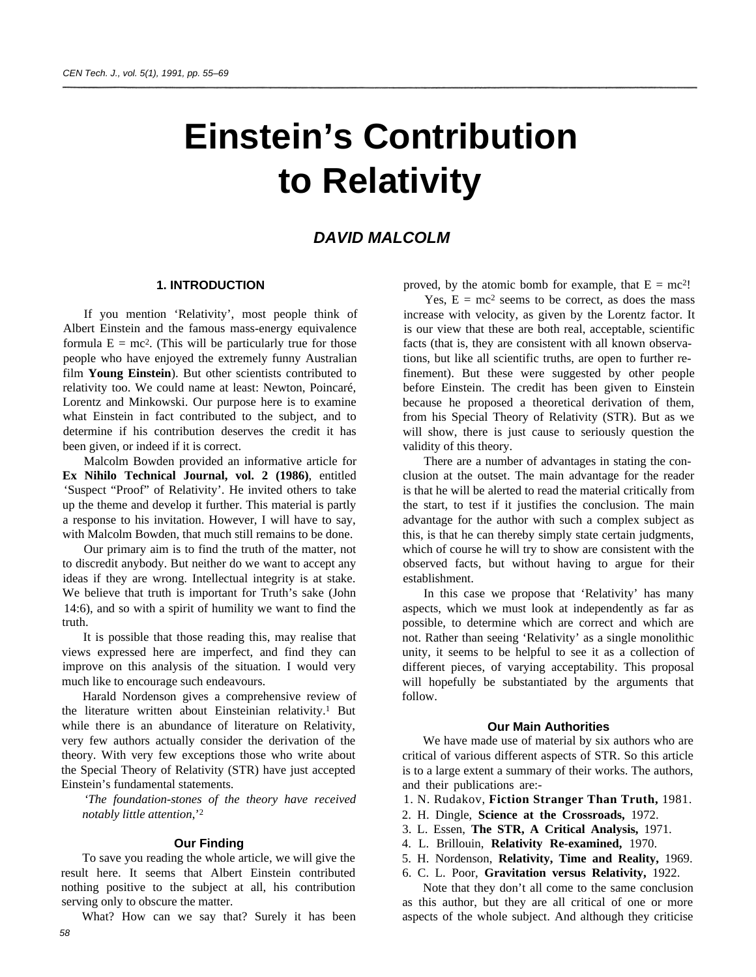# **Einstein's Contribution to Relativity**

## *DAVID MALCOLM*

## **1. INTRODUCTION**

If you mention 'Relativity', most people think of Albert Einstein and the famous mass-energy equivalence formula  $E = mc^2$ . (This will be particularly true for those people who have enjoyed the extremely funny Australian film **Young Einstein**). But other scientists contributed to relativity too. We could name at least: Newton, Poincaré, Lorentz and Minkowski. Our purpose here is to examine what Einstein in fact contributed to the subject, and to determine if his contribution deserves the credit it has been given, or indeed if it is correct.

Malcolm Bowden provided an informative article for **Ex Nihilo Technical Journal, vol. 2 (1986)**, entitled 'Suspect "Proof" of Relativity'. He invited others to take up the theme and develop it further. This material is partly a response to his invitation. However, I will have to say, with Malcolm Bowden, that much still remains to be done.

Our primary aim is to find the truth of the matter, not to discredit anybody. But neither do we want to accept any ideas if they are wrong. Intellectual integrity is at stake. We believe that truth is important for Truth's sake (John 14:6), and so with a spirit of humility we want to find the truth.

It is possible that those reading this, may realise that views expressed here are imperfect, and find they can improve on this analysis of the situation. I would very much like to encourage such endeavours.

Harald Nordenson gives a comprehensive review of the literature written about Einsteinian relativity.<sup>1</sup> But while there is an abundance of literature on Relativity, very few authors actually consider the derivation of the theory. With very few exceptions those who write about the Special Theory of Relativity (STR) have just accepted Einstein's fundamental statements.

*'The foundation-stones of the theory have received notably little attention*,'<sup>2</sup>

#### **Our Finding**

To save you reading the whole article, we will give the result here. It seems that Albert Einstein contributed nothing positive to the subject at all, his contribution serving only to obscure the matter.

What? How can we say that? Surely it has been *58*

proved, by the atomic bomb for example, that  $E = mc^2$ !

Yes,  $E = mc^2$  seems to be correct, as does the mass increase with velocity, as given by the Lorentz factor. It is our view that these are both real, acceptable, scientific facts (that is, they are consistent with all known observations, but like all scientific truths, are open to further refinement). But these were suggested by other people before Einstein. The credit has been given to Einstein because he proposed a theoretical derivation of them, from his Special Theory of Relativity (STR). But as we will show, there is just cause to seriously question the validity of this theory.

There are a number of advantages in stating the conclusion at the outset. The main advantage for the reader is that he will be alerted to read the material critically from the start, to test if it justifies the conclusion. The main advantage for the author with such a complex subject as this, is that he can thereby simply state certain judgments, which of course he will try to show are consistent with the observed facts, but without having to argue for their establishment.

In this case we propose that 'Relativity' has many aspects, which we must look at independently as far as possible, to determine which are correct and which are not. Rather than seeing 'Relativity' as a single monolithic unity, it seems to be helpful to see it as a collection of different pieces, of varying acceptability. This proposal will hopefully be substantiated by the arguments that follow.

#### **Our Main Authorities**

We have made use of material by six authors who are critical of various different aspects of STR. So this article is to a large extent a summary of their works. The authors, and their publications are:-

- 1. N. Rudakov, **Fiction Stranger Than Truth,** 1981.
- 2. H. Dingle, **Science at the Crossroads,** 1972.
- 3. L. Essen, **The STR, A Critical Analysis,** 1971.
- 4. L. Brillouin, **Relativity Re-examined,** 1970.
- 5. H. Nordenson, **Relativity, Time and Reality,** 1969.
- 6. C. L. Poor, **Gravitation versus Relativity,** 1922.

Note that they don't all come to the same conclusion as this author, but they are all critical of one or more aspects of the whole subject. And although they criticise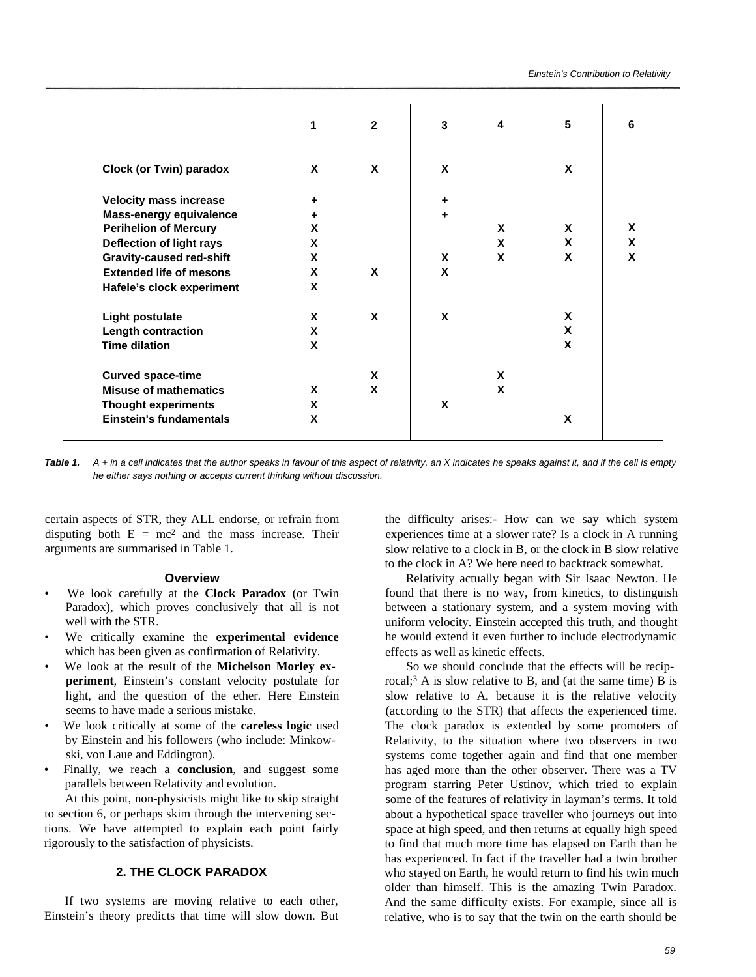|                                 | 1 | $\overline{2}$ | 3 | 4 | 5 | 6                  |
|---------------------------------|---|----------------|---|---|---|--------------------|
| <b>Clock (or Twin) paradox</b>  | X | X              | X |   | X |                    |
| <b>Velocity mass increase</b>   | ٠ |                | ٠ |   |   |                    |
| Mass-energy equivalence         | ٠ |                | ٠ |   |   |                    |
| <b>Perihelion of Mercury</b>    | X |                |   | X | X | X                  |
| Deflection of light rays        | X |                |   | X | X | $\pmb{\mathsf{X}}$ |
| <b>Gravity-caused red-shift</b> | X |                | X | X | X | X                  |
| <b>Extended life of mesons</b>  | X | X              | X |   |   |                    |
| Hafele's clock experiment       | X |                |   |   |   |                    |
| <b>Light postulate</b>          | X | X              | X |   | X |                    |
| <b>Length contraction</b>       | X |                |   |   | X |                    |
| <b>Time dilation</b>            | X |                |   |   | X |                    |
| <b>Curved space-time</b>        |   | X              |   | X |   |                    |
| <b>Misuse of mathematics</b>    | X | X              |   | X |   |                    |
| <b>Thought experiments</b>      | X |                | X |   |   |                    |
| <b>Einstein's fundamentals</b>  | X |                |   |   | X |                    |

*Table 1. A + in a cell indicates that the author speaks in favour of this aspect of relativity, an X indicates he speaks against it, and if the cell is empty he either says nothing or accepts current thinking without discussion.*

certain aspects of STR, they ALL endorse, or refrain from disputing both  $E = mc^2$  and the mass increase. Their arguments are summarised in Table 1.

#### **Overview**

- We look carefully at the **Clock Paradox** (or Twin Paradox), which proves conclusively that all is not well with the STR.
- We critically examine the **experimental evidence** which has been given as confirmation of Relativity.
- We look at the result of the **Michelson Morley experiment**, Einstein's constant velocity postulate for light, and the question of the ether. Here Einstein seems to have made a serious mistake.
- We look critically at some of the **careless logic** used by Einstein and his followers (who include: Minkowski, von Laue and Eddington).
- Finally, we reach a **conclusion**, and suggest some parallels between Relativity and evolution.

At this point, non-physicists might like to skip straight to section 6, or perhaps skim through the intervening sections. We have attempted to explain each point fairly rigorously to the satisfaction of physicists.

## **2. THE CLOCK PARADOX**

If two systems are moving relative to each other, Einstein's theory predicts that time will slow down. But the difficulty arises:- How can we say which system experiences time at a slower rate? Is a clock in A running slow relative to a clock in B, or the clock in B slow relative to the clock in A? We here need to backtrack somewhat.

Relativity actually began with Sir Isaac Newton. He found that there is no way, from kinetics, to distinguish between a stationary system, and a system moving with uniform velocity. Einstein accepted this truth, and thought he would extend it even further to include electrodynamic effects as well as kinetic effects.

So we should conclude that the effects will be reciprocal;<sup>3</sup> A is slow relative to B, and (at the same time) B is slow relative to A, because it is the relative velocity (according to the STR) that affects the experienced time. The clock paradox is extended by some promoters of Relativity, to the situation where two observers in two systems come together again and find that one member has aged more than the other observer. There was a TV program starring Peter Ustinov, which tried to explain some of the features of relativity in layman's terms. It told about a hypothetical space traveller who journeys out into space at high speed, and then returns at equally high speed to find that much more time has elapsed on Earth than he has experienced. In fact if the traveller had a twin brother who stayed on Earth, he would return to find his twin much older than himself. This is the amazing Twin Paradox. And the same difficulty exists. For example, since all is relative, who is to say that the twin on the earth should be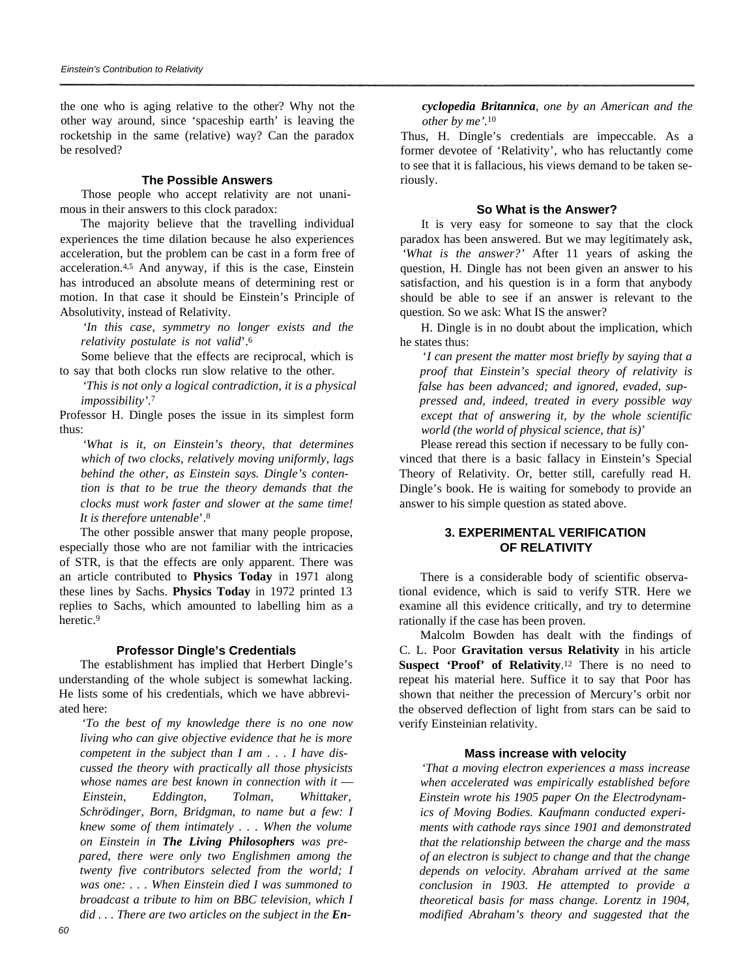the one who is aging relative to the other? Why not the other way around, since 'spaceship earth' is leaving the rocketship in the same (relative) way? Can the paradox be resolved?

## **The Possible Answers**

Those people who accept relativity are not unanimous in their answers to this clock paradox:

The majority believe that the travelling individual experiences the time dilation because he also experiences acceleration, but the problem can be cast in a form free of acceleration.4,5 And anyway, if this is the case, Einstein has introduced an absolute means of determining rest or motion. In that case it should be Einstein's Principle of Absolutivity, instead of Relativity.

*'In this case, symmetry no longer exists and the relativity postulate is not valid*'.<sup>6</sup>

Some believe that the effects are reciprocal, which is to say that both clocks run slow relative to the other.

*'This is not only a logical contradiction, it is a physical impossibility'.*<sup>7</sup>

Professor H. Dingle poses the issue in its simplest form thus:

*'What is it, on Einstein's theory, that determines which of two clocks, relatively moving uniformly, lags behind the other, as Einstein says. Dingle's contention is that to be true the theory demands that the clocks must work faster and slower at the same time! It is therefore untenable*'.<sup>8</sup>

The other possible answer that many people propose, especially those who are not familiar with the intricacies of STR, is that the effects are only apparent. There was an article contributed to **Physics Today** in 1971 along these lines by Sachs. **Physics Today** in 1972 printed 13 replies to Sachs, which amounted to labelling him as a heretic.<sup>9</sup>

## **Professor Dingle's Credentials**

The establishment has implied that Herbert Dingle's understanding of the whole subject is somewhat lacking. He lists some of his credentials, which we have abbreviated here:

*'To the best of my knowledge there is no one now living who can give objective evidence that he is more competent in the subject than I am . . . I have discussed the theory with practically all those physicists whose names are best known in connection with it* — *Einstein, Eddington, Tolman, Whittaker, Schrödinger, Born, Bridgman, to name but a few: I knew some of them intimately . . . When the volume on Einstein in The Living Philosophers was prepared, there were only two Englishmen among the twenty five contributors selected from the world; I was one: . . . When Einstein died I was summoned to broadcast a tribute to him on BBC television, which I* did . . . There are two articles on the subject in the **En-** *cyclopedia Britannica, one by an American and the other by me'.*<sup>10</sup>

Thus, H. Dingle's credentials are impeccable. As a former devotee of 'Relativity', who has reluctantly come to see that it is fallacious, his views demand to be taken seriously.

### **So What is the Answer?**

It is very easy for someone to say that the clock paradox has been answered. But we may legitimately ask, *'What is the answer?'* After 11 years of asking the question, H. Dingle has not been given an answer to his satisfaction, and his question is in a form that anybody should be able to see if an answer is relevant to the question. So we ask: What IS the answer?

H. Dingle is in no doubt about the implication, which he states thus:

'*I can present the matter most briefly by saying that a proof that Einstein's special theory of relativity is false has been advanced; and ignored, evaded, suppressed and, indeed, treated in every possible way except that of answering it, by the whole scientific world (the world of physical science, that is)*'

Please reread this section if necessary to be fully convinced that there is a basic fallacy in Einstein's Special Theory of Relativity. Or, better still, carefully read H. Dingle's book. He is waiting for somebody to provide an answer to his simple question as stated above.

## **3. EXPERIMENTAL VERIFICATION OF RELATIVITY**

There is a considerable body of scientific observational evidence, which is said to verify STR. Here we examine all this evidence critically, and try to determine rationally if the case has been proven.

Malcolm Bowden has dealt with the findings of C. L. Poor **Gravitation versus Relativity** in his article Suspect 'Proof' of Relativity.<sup>12</sup> There is no need to repeat his material here. Suffice it to say that Poor has shown that neither the precession of Mercury's orbit nor the observed deflection of light from stars can be said to verify Einsteinian relativity.

## **Mass increase with velocity**

*'That a moving electron experiences a mass increase when accelerated was empirically established before Einstein wrote his 1905 paper On the Electrodynamics of Moving Bodies. Kaufmann conducted experiments with cathode rays since 1901 and demonstrated that the relationship between the charge and the mass of an electron is subject to change and that the change depends on velocity. Abraham arrived at the same conclusion in 1903. He attempted to provide a theoretical basis for mass change. Lorentz in 1904, modified Abraham's theory and suggested that the*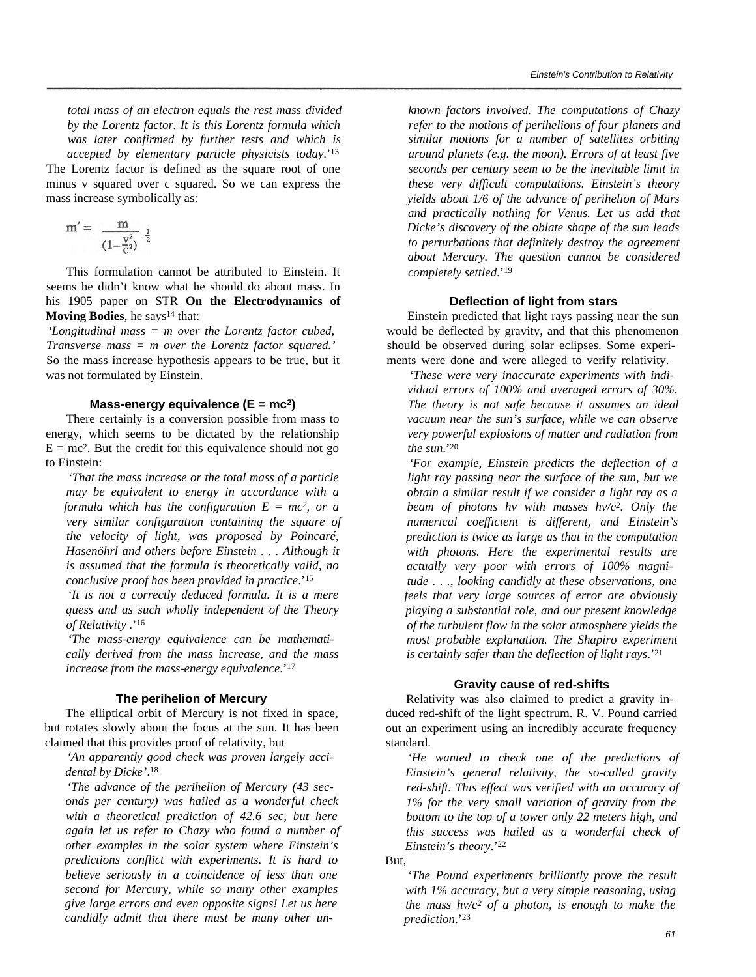*total mass of an electron equals the rest mass divided by the Lorentz factor. It is this Lorentz formula which was later confirmed by further tests and which is accepted by elementary particle physicists today*.'<sup>13</sup> The Lorentz factor is defined as the square root of one minus v squared over c squared. So we can express the mass increase symbolically as:

$$
m' = \frac{m}{\left(1 - \frac{v^2}{c^2}\right)^{\frac{1}{2}}}
$$

This formulation cannot be attributed to Einstein. It seems he didn't know what he should do about mass. In his 1905 paper on STR **On the Electrodynamics of Moving Bodies**, he says<sup>14</sup> that:

*'Longitudinal mass = m over the Lorentz factor cubed, Transverse mass = m over the Lorentz factor squared.'* So the mass increase hypothesis appears to be true, but it was not formulated by Einstein.

#### **Mass-energy equivalence (E = mc<sup>2</sup>)**

There certainly is a conversion possible from mass to energy, which seems to be dictated by the relationship  $E = mc<sup>2</sup>$ . But the credit for this equivalence should not go to Einstein:

*'That the mass increase or the total mass of a particle may be equivalent to energy in accordance with a formula which has the configuration*  $E = mc^2$ *, or a very similar configuration containing the square of the velocity of light, was proposed by Poincaré, Hasenöhrl and others before Einstein . . . Although it is assumed that the formula is theoretically valid, no conclusive proof has been provided in practice*.'<sup>15</sup>

*'It is not a correctly deduced formula. It is a mere guess and as such wholly independent of the Theory of Relativity* .'<sup>16</sup>

*'The mass-energy equivalence can be mathematically derived from the mass increase, and the mass increase from the mass-energy equivalence*.'<sup>17</sup>

### **The perihelion of Mercury**

The elliptical orbit of Mercury is not fixed in space, but rotates slowly about the focus at the sun. It has been claimed that this provides proof of relativity, but

*'An apparently good check was proven largely accidental by Dicke'*. 18

*'The advance of the perihelion of Mercury (43 seconds per century) was hailed as a wonderful check with a theoretical prediction of 42.6 sec, but here again let us refer to Chazy who found a number of other examples in the solar system where Einstein's predictions conflict with experiments. It is hard to believe seriously in a coincidence of less than one second for Mercury, while so many other examples give large errors and even opposite signs! Let us here candidly admit that there must be many other un-*

*known factors involved. The computations of Chazy refer to the motions of perihelions of four planets and similar motions for a number of satellites orbiting around planets (e.g. the moon). Errors of at least five seconds per century seem to be the inevitable limit in these very difficult computations. Einstein's theory yields about 1/6 of the advance of perihelion of Mars and practically nothing for Venus. Let us add that Dicke's discovery of the oblate shape of the sun leads to perturbations that definitely destroy the agreement about Mercury. The question cannot be considered completely settled*.'<sup>19</sup>

#### **Deflection of light from stars**

Einstein predicted that light rays passing near the sun would be deflected by gravity, and that this phenomenon should be observed during solar eclipses. Some experiments were done and were alleged to verify relativity.

*'These were very inaccurate experiments with individual errors of 100% and averaged errors of 30%. The theory is not safe because it assumes an ideal vacuum near the sun's surface, while we can observe very powerful explosions of matter and radiation from the sun*.'<sup>20</sup>

*'For example, Einstein predicts the deflection of a light ray passing near the surface of the sun, but we obtain a similar result if we consider a light ray as a beam of photons hv with masses hv/c2. Only the numerical coefficient is different, and Einstein's prediction is twice as large as that in the computation with photons. Here the experimental results are actually very poor with errors of 100% magnitude . . ., looking candidly at these observations, one feels that very large sources of error are obviously playing a substantial role, and our present knowledge of the turbulent flow in the solar atmosphere yields the most probable explanation. The Shapiro experiment is certainly safer than the deflection of light rays*.'<sup>21</sup>

## **Gravity cause of red-shifts**

Relativity was also claimed to predict a gravity induced red-shift of the light spectrum. R. V. Pound carried out an experiment using an incredibly accurate frequency standard.

*'He wanted to check one of the predictions of Einstein's general relativity, the so-called gravity red-shift. This effect was verified with an accuracy of 1% for the very small variation of gravity from the bottom to the top of a tower only 22 meters high, and this success was hailed as a wonderful check of Einstein's theory*.'<sup>22</sup>

*'The Pound experiments brilliantly prove the result with 1% accuracy, but a very simple reasoning, using the mass hv/c2 of a photon, is enough to make the prediction*.'<sup>23</sup>

But,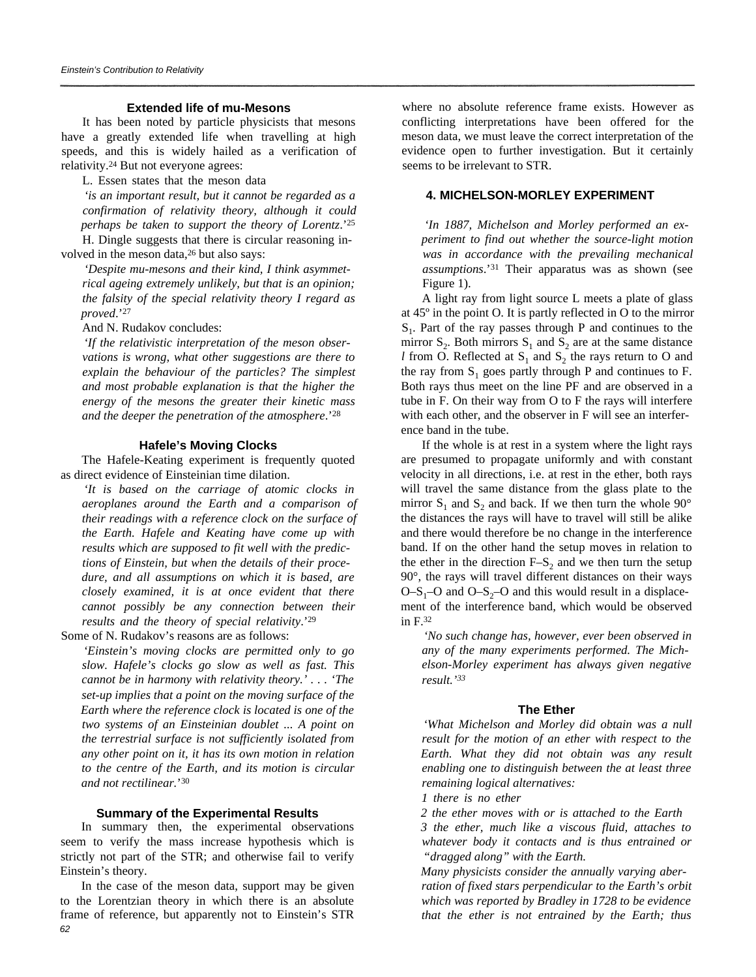#### **Extended life of mu-Mesons**

It has been noted by particle physicists that mesons have a greatly extended life when travelling at high speeds, and this is widely hailed as a verification of relativity.24 But not everyone agrees:

L. Essen states that the meson data

*'is an important result, but it cannot be regarded as a confirmation of relativity theory, although it could perhaps be taken to support the theory of Lorentz*.'<sup>25</sup> H. Dingle suggests that there is circular reasoning in-

volved in the meson data,<sup>26</sup> but also says:

*'Despite mu-mesons and their kind, I think asymmetrical ageing extremely unlikely, but that is an opinion; the falsity of the special relativity theory I regard as proved*.'<sup>27</sup>

And N. Rudakov concludes:

*'If the relativistic interpretation of the meson observations is wrong, what other suggestions are there to explain the behaviour of the particles? The simplest and most probable explanation is that the higher the energy of the mesons the greater their kinetic mass and the deeper the penetration of the atmosphere*.'<sup>28</sup>

#### **Hafele's Moving Clocks**

The Hafele-Keating experiment is frequently quoted as direct evidence of Einsteinian time dilation.

*'It is based on the carriage of atomic clocks in aeroplanes around the Earth and a comparison of their readings with a reference clock on the surface of the Earth. Hafele and Keating have come up with results which are supposed to fit well with the predictions of Einstein, but when the details of their procedure, and all assumptions on which it is based, are closely examined, it is at once evident that there cannot possibly be any connection between their results and the theory of special relativity*.'<sup>29</sup>

Some of N. Rudakov's reasons are as follows:

*'Einstein's moving clocks are permitted only to go slow. Hafele's clocks go slow as well as fast. This cannot be in harmony with relativity theory.' . . . 'The set-up implies that a point on the moving surface of the Earth where the reference clock is located is one of the two systems of an Einsteinian doublet ... A point on the terrestrial surface is not sufficiently isolated from any other point on it, it has its own motion in relation to the centre of the Earth, and its motion is circular and not rectilinear.*' 30

#### **Summary of the Experimental Results**

In summary then, the experimental observations seem to verify the mass increase hypothesis which is strictly not part of the STR; and otherwise fail to verify Einstein's theory.

In the case of the meson data, support may be given to the Lorentzian theory in which there is an absolute frame of reference, but apparently not to Einstein's STR *62*

where no absolute reference frame exists. However as conflicting interpretations have been offered for the meson data, we must leave the correct interpretation of the evidence open to further investigation. But it certainly seems to be irrelevant to STR.

## **4. MICHELSON-MORLEY EXPERIMENT**

*'In 1887, Michelson and Morley performed an experiment to find out whether the source-light motion was in accordance with the prevailing mechanical assumptions*.'31 Their apparatus was as shown (see Figure 1).

A light ray from light source L meets a plate of glass at 45º in the point O. It is partly reflected in O to the mirror  $S_1$ . Part of the ray passes through P and continues to the mirror  $S_2$ . Both mirrors  $S_1$  and  $S_2$  are at the same distance *l* from O. Reflected at  $S_1$  and  $S_2$  the rays return to O and the ray from  $S_1$  goes partly through P and continues to F. Both rays thus meet on the line PF and are observed in a tube in F. On their way from O to F the rays will interfere with each other, and the observer in F will see an interference band in the tube.

If the whole is at rest in a system where the light rays are presumed to propagate uniformly and with constant velocity in all directions, i.e. at rest in the ether, both rays will travel the same distance from the glass plate to the mirror  $S_1$  and  $S_2$  and back. If we then turn the whole  $90^\circ$ the distances the rays will have to travel will still be alike and there would therefore be no change in the interference band. If on the other hand the setup moves in relation to the ether in the direction  $F-S_2$  and we then turn the setup 90°, the rays will travel different distances on their ways  $O-S<sub>1</sub>-O$  and  $O-S<sub>2</sub>-O$  and this would result in a displacement of the interference band, which would be observed in F.<sup>32</sup>

*'No such change has, however, ever been observed in any of the many experiments performed. The Michelson-Morley experiment has always given negative result.'<sup>33</sup>*

#### **The Ether**

*'What Michelson and Morley did obtain was a null result for the motion of an ether with respect to the Earth. What they did not obtain was any result enabling one to distinguish between the at least three remaining logical alternatives:*

*1 there is no ether*

*2 the ether moves with or is attached to the Earth 3 the ether, much like a viscous fluid, attaches to whatever body it contacts and is thus entrained or "dragged along" with the Earth.*

*Many physicists consider the annually varying aberration of fixed stars perpendicular to the Earth's orbit which was reported by Bradley in 1728 to be evidence that the ether is not entrained by the Earth; thus*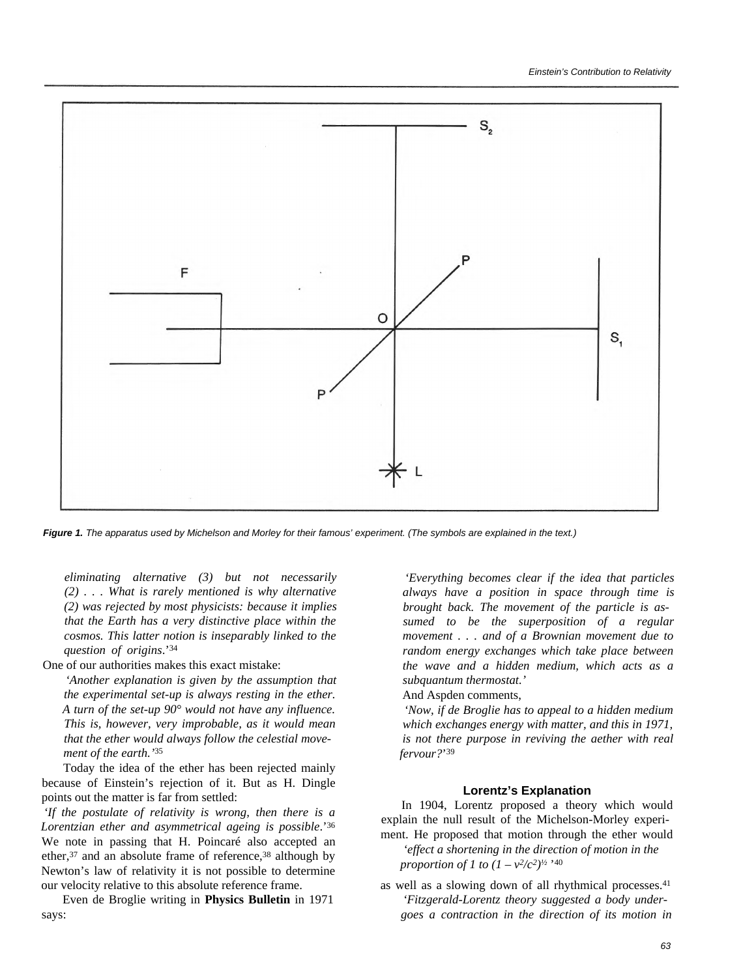

*Figure 1. The apparatus used by Michelson and Morley for their famous' experiment. (The symbols are explained in the text.)*

*eliminating alternative (3) but not necessarily (2) . . . What is rarely mentioned is why alternative (2) was rejected by most physicists: because it implies that the Earth has a very distinctive place within the cosmos. This latter notion is inseparably linked to the question of origins*.'<sup>34</sup>

One of our authorities makes this exact mistake:

*'Another explanation is given by the assumption that the experimental set-up is always resting in the ether. A turn of the set-up 90° would not have any influence. This is, however, very improbable, as it would mean that the ether would always follow the celestial movement of the earth.'*<sup>35</sup>

Today the idea of the ether has been rejected mainly because of Einstein's rejection of it. But as H. Dingle points out the matter is far from settled:

*'If the postulate of relativity is wrong, then there is a Lorentzian ether and asymmetrical ageing is possible*.'<sup>36</sup> We note in passing that H. Poincaré also accepted an ether,<sup>37</sup> and an absolute frame of reference,<sup>38</sup> although by Newton's law of relativity it is not possible to determine our velocity relative to this absolute reference frame.

Even de Broglie writing in **Physics Bulletin** in 1971 says:

*'Everything becomes clear if the idea that particles always have a position in space through time is brought back. The movement of the particle is assumed to be the superposition of a regular movement . . . and of a Brownian movement due to random energy exchanges which take place between the wave and a hidden medium, which acts as a subquantum thermostat.'*

And Aspden comments,

*'Now, if de Broglie has to appeal to a hidden medium which exchanges energy with matter, and this in 1971, is not there purpose in reviving the aether with real fervour?*' 39

#### **Lorentz's Explanation**

In 1904, Lorentz proposed a theory which would explain the null result of the Michelson-Morley experiment. He proposed that motion through the ether would

*'effect a shortening in the direction of motion in the proportion of 1 to*  $(1 - v^2/c^2)^{1/2}$  '40

as well as a slowing down of all rhythmical processes.<sup>41</sup> *'Fitzgerald-Lorentz theory suggested a body undergoes a contraction in the direction of its motion in*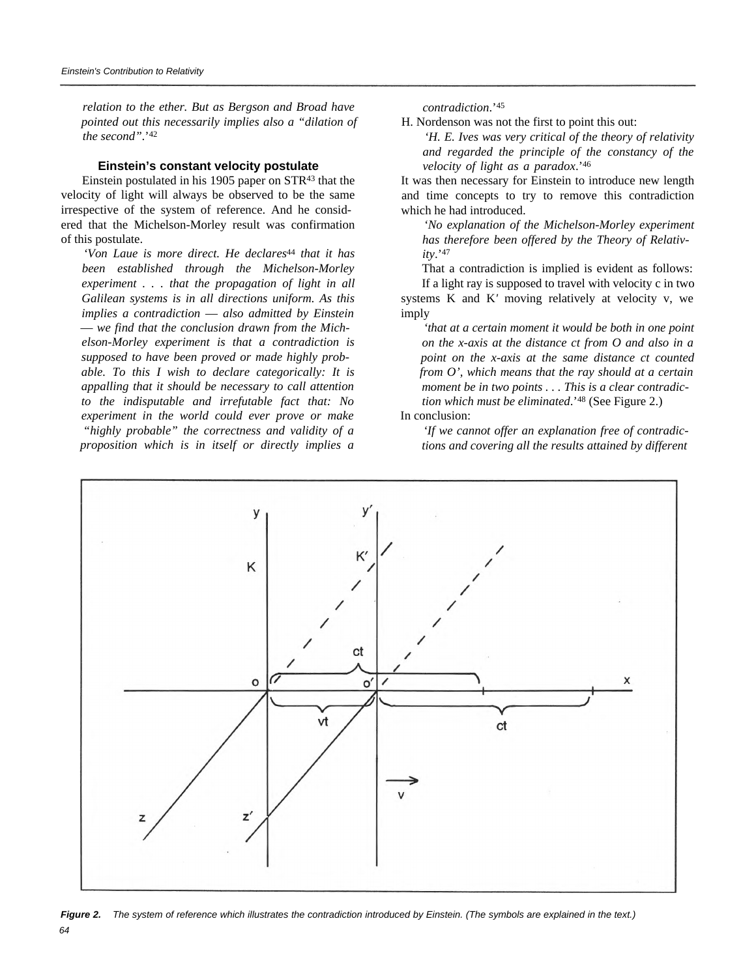*relation to the ether. But as Bergson and Broad have pointed out this necessarily implies also a "dilation of the second"*.'<sup>42</sup>

#### **Einstein's constant velocity postulate**

Einstein postulated in his 1905 paper on STR43 that the velocity of light will always be observed to be the same irrespective of the system of reference. And he considered that the Michelson-Morley result was confirmation of this postulate.

*'Von Laue is more direct. He declares*44 *that it has been established through the Michelson-Morley experiment . . . that the propagation of light in all Galilean systems is in all directions uniform. As this implies a contradiction* — *also admitted by Einstein* — *we find that the conclusion drawn from the Michelson-Morley experiment is that a contradiction is supposed to have been proved or made highly probable. To this I wish to declare categorically: It is appalling that it should be necessary to call attention to the indisputable and irrefutable fact that: No experiment in the world could ever prove or make "highly probable" the correctness and validity of a proposition which is in itself or directly implies a* *contradiction*.'<sup>45</sup>

H. Nordenson was not the first to point this out:

*'H. E. Ives was very critical of the theory of relativity and regarded the principle of the constancy of the velocity of light as a paradox*.'<sup>46</sup>

It was then necessary for Einstein to introduce new length and time concepts to try to remove this contradiction which he had introduced.

*'No explanation of the Michelson-Morley experiment has therefore been offered by the Theory of Relativity*.'<sup>47</sup>

That a contradiction is implied is evident as follows: If a light ray is supposed to travel with velocity c in two

systems K and K*'* moving relatively at velocity v, we imply

*'that at a certain moment it would be both in one point on the x-axis at the distance ct from O and also in a point on the x-axis at the same distance ct counted from O', which means that the ray should at a certain moment be in two points . . . This is a clear contradiction which must be eliminated*.'48 (See Figure 2.)

### In conclusion:

*'If we cannot offer an explanation free of contradictions and covering all the results attained by different*



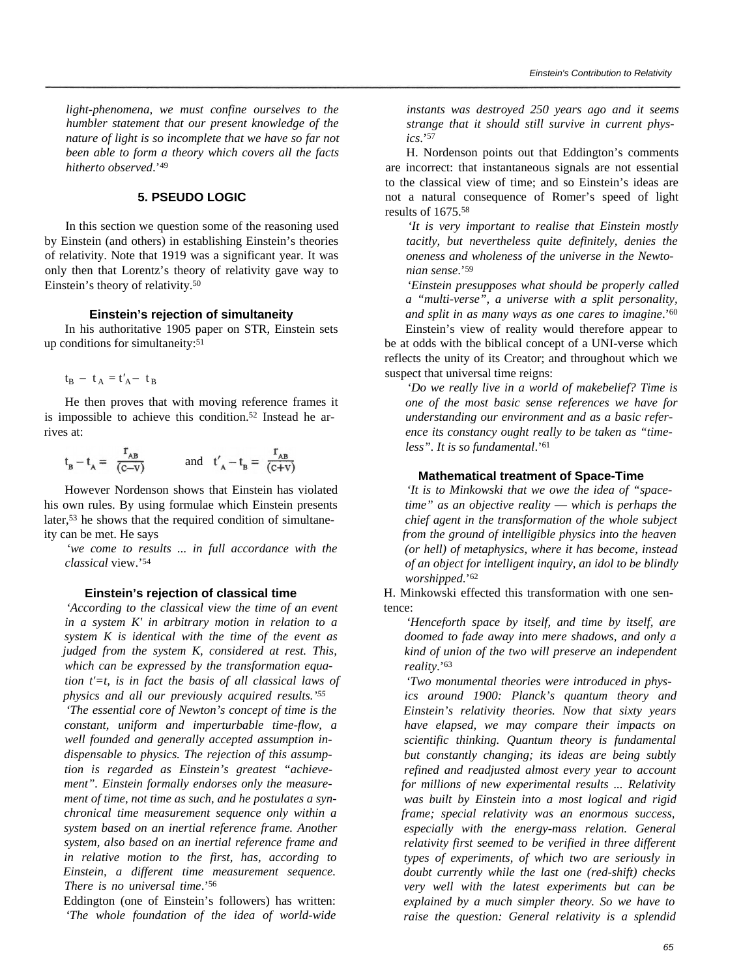*light-phenomena, we must confine ourselves to the humbler statement that our present knowledge of the nature of light is so incomplete that we have so far not been able to form a theory which covers all the facts hitherto observed*.'<sup>49</sup>

## **5. PSEUDO LOGIC**

In this section we question some of the reasoning used by Einstein (and others) in establishing Einstein's theories of relativity. Note that 1919 was a significant year. It was only then that Lorentz's theory of relativity gave way to Einstein's theory of relativity.<sup>50</sup>

#### **Einstein's rejection of simultaneity**

In his authoritative 1905 paper on STR, Einstein sets up conditions for simultaneity:<sup>51</sup>

 $t_B - t_A = t'_A - t_B$ 

He then proves that with moving reference frames it is impossible to achieve this condition.52 Instead he arrives at:

$$
t_B - t_A = \frac{r_{AB}}{(c-v)}
$$
 and  $t'_A - t_B = \frac{r_{AB}}{(c+v)}$ 

However Nordenson shows that Einstein has violated his own rules. By using formulae which Einstein presents later,53 he shows that the required condition of simultaneity can be met. He says

*'we come to results ... in full accordance with the classical* view.'<sup>54</sup>

### **Einstein's rejection of classical time**

*'According to the classical view the time of an event in a system K' in arbitrary motion in relation to a system K is identical with the time of the event as judged from the system K, considered at rest. This, which can be expressed by the transformation equation t'=t, is in fact the basis of all classical laws of physics and all our previously acquired results.'<sup>55</sup>*

*'The essential core of Newton's concept of time is the constant, uniform and imperturbable time-flow, a well founded and generally accepted assumption indispensable to physics. The rejection of this assumption is regarded as Einstein's greatest "achievement". Einstein formally endorses only the measurement of time, not time as such, and he postulates a synchronical time measurement sequence only within a system based on an inertial reference frame. Another system, also based on an inertial reference frame and in relative motion to the first, has, according to Einstein, a different time measurement sequence. There is no universal time*.'<sup>56</sup>

Eddington (one of Einstein's followers) has written: *'The whole foundation of the idea of world-wide* *instants was destroyed 250 years ago and it seems strange that it should still survive in current physics*.'<sup>57</sup>

H. Nordenson points out that Eddington's comments are incorrect: that instantaneous signals are not essential to the classical view of time; and so Einstein's ideas are not a natural consequence of Romer's speed of light results of 1675.<sup>58</sup>

*'It is very important to realise that Einstein mostly tacitly, but nevertheless quite definitely, denies the oneness and wholeness of the universe in the Newtonian sense*.'<sup>59</sup>

*'Einstein presupposes what should be properly called a "multi-verse", a universe with a split personality, and split in as many ways as one cares to imagine*.'<sup>60</sup>

Einstein's view of reality would therefore appear to be at odds with the biblical concept of a UNI-verse which reflects the unity of its Creator; and throughout which we suspect that universal time reigns:

*'Do we really live in a world of makebelief? Time is one of the most basic sense references we have for understanding our environment and as a basic reference its constancy ought really to be taken as "timeless". It is so fundamental*.'<sup>61</sup>

#### **Mathematical treatment of Space-Time**

*'It is to Minkowski that we owe the idea of "spacetime" as an objective reality* — *which is perhaps the chief agent in the transformation of the whole subject from the ground of intelligible physics into the heaven (or hell) of metaphysics, where it has become, instead of an object for intelligent inquiry, an idol to be blindly worshipped*.'<sup>62</sup>

H. Minkowski effected this transformation with one sentence:

*'Henceforth space by itself, and time by itself, are doomed to fade away into mere shadows, and only a kind of union of the two will preserve an independent reality*.'<sup>63</sup>

*'Two monumental theories were introduced in physics around 1900: Planck's quantum theory and Einstein's relativity theories. Now that sixty years have elapsed, we may compare their impacts on scientific thinking. Quantum theory is fundamental but constantly changing; its ideas are being subtly refined and readjusted almost every year to account for millions of new experimental results ... Relativity was built by Einstein into a most logical and rigid frame; special relativity was an enormous success, especially with the energy-mass relation. General relativity first seemed to be verified in three different types of experiments, of which two are seriously in doubt currently while the last one (red-shift) checks very well with the latest experiments but can be explained by a much simpler theory. So we have to raise the question: General relativity is a splendid*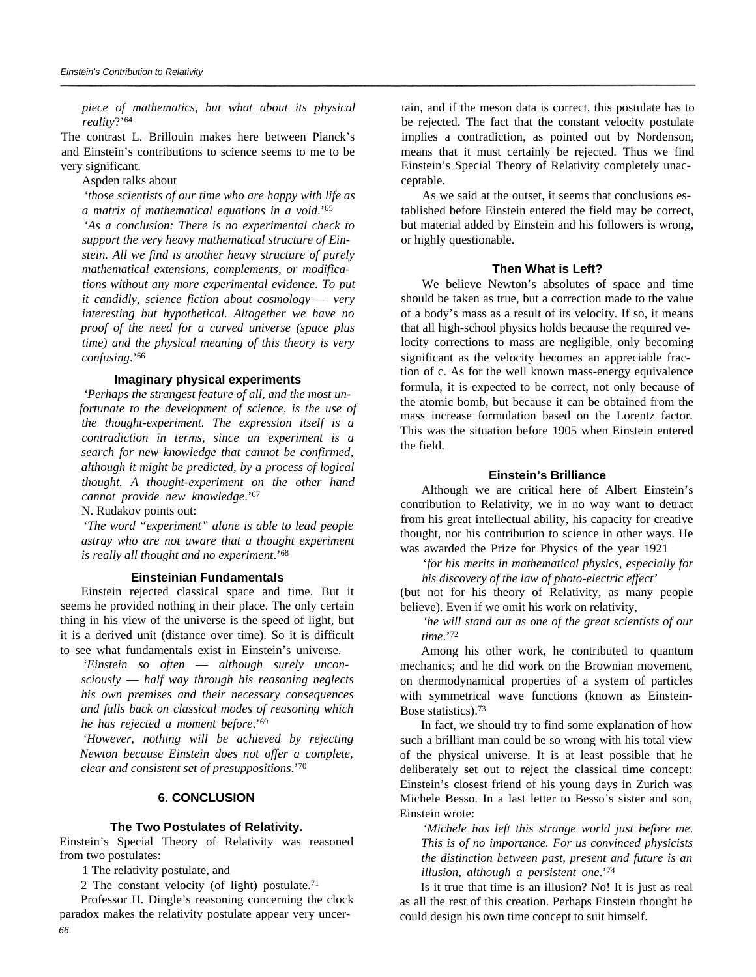*piece of mathematics, but what about its physical reality*?'<sup>64</sup>

The contrast L. Brillouin makes here between Planck's and Einstein's contributions to science seems to me to be very significant.

#### Aspden talks about

*'those scientists of our time who are happy with life as a matrix of mathematical equations in a void*.'<sup>65</sup>

*'As a conclusion: There is no experimental check to support the very heavy mathematical structure of Einstein. All we find is another heavy structure of purely mathematical extensions, complements, or modifications without any more experimental evidence. To put it candidly, science fiction about cosmology* — *very interesting but hypothetical. Altogether we have no proof of the need for a curved universe (space plus time) and the physical meaning of this theory is very confusing*.'<sup>66</sup>

## **Imaginary physical experiments**

*'Perhaps the strangest feature of all, and the most unfortunate to the development of science, is the use of the thought-experiment. The expression itself is a contradiction in terms, since an experiment is a search for new knowledge that cannot be confirmed, although it might be predicted, by a process of logical thought. A thought-experiment on the other hand cannot provide new knowledge*.'<sup>67</sup>

N. Rudakov points out:

*'The word "experiment" alone is able to lead people astray who are not aware that a thought experiment is really all thought and no experiment*.'<sup>68</sup>

#### **Einsteinian Fundamentals**

Einstein rejected classical space and time. But it seems he provided nothing in their place. The only certain thing in his view of the universe is the speed of light, but it is a derived unit (distance over time). So it is difficult to see what fundamentals exist in Einstein's universe.

*'Einstein so often* — *although surely unconsciously* — *half way through his reasoning neglects his own premises and their necessary consequences and falls back on classical modes of reasoning which he has rejected a moment before*.'<sup>69</sup>

*'However, nothing will be achieved by rejecting Newton because Einstein does not offer a complete, clear and consistent set of presuppositions*.'<sup>70</sup>

#### **6. CONCLUSION**

#### **The Two Postulates of Relativity.**

Einstein's Special Theory of Relativity was reasoned from two postulates:

1 The relativity postulate, and

2 The constant velocity (of light) postulate.<sup>71</sup>

Professor H. Dingle's reasoning concerning the clock paradox makes the relativity postulate appear very uncertain, and if the meson data is correct, this postulate has to be rejected. The fact that the constant velocity postulate implies a contradiction, as pointed out by Nordenson, means that it must certainly be rejected. Thus we find Einstein's Special Theory of Relativity completely unacceptable.

As we said at the outset, it seems that conclusions established before Einstein entered the field may be correct, but material added by Einstein and his followers is wrong, or highly questionable.

#### **Then What is Left?**

We believe Newton's absolutes of space and time should be taken as true, but a correction made to the value of a body's mass as a result of its velocity. If so, it means that all high-school physics holds because the required velocity corrections to mass are negligible, only becoming significant as the velocity becomes an appreciable fraction of c. As for the well known mass-energy equivalence formula, it is expected to be correct, not only because of the atomic bomb, but because it can be obtained from the mass increase formulation based on the Lorentz factor. This was the situation before 1905 when Einstein entered the field.

#### **Einstein's Brilliance**

Although we are critical here of Albert Einstein's contribution to Relativity, we in no way want to detract from his great intellectual ability, his capacity for creative thought, nor his contribution to science in other ways. He was awarded the Prize for Physics of the year 1921

'*for his merits in mathematical physics, especially for his discovery of the law of photo-electric effect'*

(but not for his theory of Relativity, as many people believe). Even if we omit his work on relativity,

*'he will stand out as one of the great scientists of our time*.'<sup>72</sup>

Among his other work, he contributed to quantum mechanics; and he did work on the Brownian movement, on thermodynamical properties of a system of particles with symmetrical wave functions (known as Einstein-Bose statistics).<sup>73</sup>

In fact, we should try to find some explanation of how such a brilliant man could be so wrong with his total view of the physical universe. It is at least possible that he deliberately set out to reject the classical time concept: Einstein's closest friend of his young days in Zurich was Michele Besso. In a last letter to Besso's sister and son, Einstein wrote:

*'Michele has left this strange world just before me*. *This is of no importance. For us convinced physicists the distinction between past, present and future is an illusion, although a persistent one*.'<sup>74</sup>

Is it true that time is an illusion? No! It is just as real as all the rest of this creation. Perhaps Einstein thought he could design his own time concept to suit himself.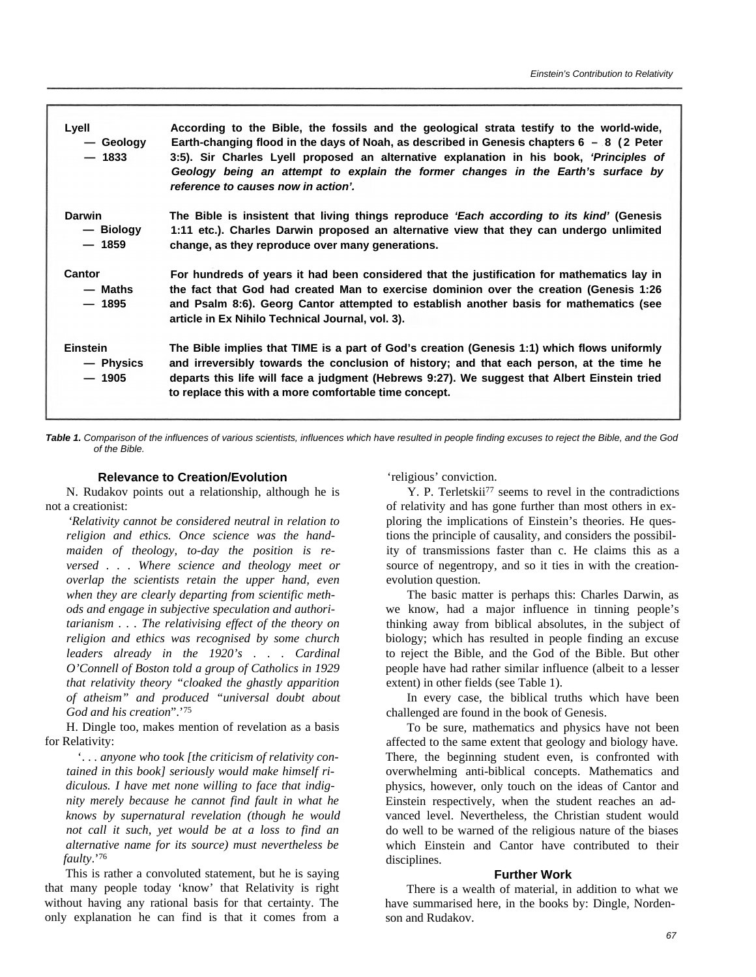| Lyell<br>— Geology<br>$-1833$           | According to the Bible, the fossils and the geological strata testify to the world-wide,<br>Earth-changing flood in the days of Noah, as described in Genesis chapters $6 - 8$ (2 Peter<br>3:5). Sir Charles Lyell proposed an alternative explanation in his book, 'Principles of<br>Geology being an attempt to explain the former changes in the Earth's surface by<br>reference to causes now in action'. |
|-----------------------------------------|---------------------------------------------------------------------------------------------------------------------------------------------------------------------------------------------------------------------------------------------------------------------------------------------------------------------------------------------------------------------------------------------------------------|
| <b>Darwin</b><br>— Biology<br>$-1859$   | The Bible is insistent that living things reproduce <i>'Each according to its kind'</i> (Genesis<br>1:11 etc.). Charles Darwin proposed an alternative view that they can undergo unlimited<br>change, as they reproduce over many generations.                                                                                                                                                               |
| Cantor<br>— Maths<br>$-1895$            | For hundreds of years it had been considered that the justification for mathematics lay in<br>the fact that God had created Man to exercise dominion over the creation (Genesis 1:26<br>and Psalm 8:6). Georg Cantor attempted to establish another basis for mathematics (see<br>article in Ex Nihilo Technical Journal, vol. 3).                                                                            |
| <b>Einstein</b><br>— Physics<br>$-1905$ | The Bible implies that TIME is a part of God's creation (Genesis 1:1) which flows uniformly<br>and irreversibly towards the conclusion of history; and that each person, at the time he<br>departs this life will face a judgment (Hebrews 9:27). We suggest that Albert Einstein tried<br>to replace this with a more comfortable time concept.                                                              |

*Table 1. Comparison of the influences of various scientists, influences which have resulted in people finding excuses to reject the Bible, and the God of the Bible.*

## **Relevance to Creation/Evolution**

N. Rudakov points out a relationship, although he is not a creationist:

*'Relativity cannot be considered neutral in relation to religion and ethics. Once science was the handmaiden of theology, to-day the position is reversed . . . Where science and theology meet or overlap the scientists retain the upper hand, even when they are clearly departing from scientific methods and engage in subjective speculation and authoritarianism . . . The relativising effect of the theory on religion and ethics was recognised by some church leaders already in the 1920's . . . Cardinal O'Connell of Boston told a group of Catholics in 1929 that relativity theory "cloaked the ghastly apparition of atheism" and produced "universal doubt about God and his creation*".'<sup>75</sup>

H. Dingle too, makes mention of revelation as a basis for Relativity:

'. . . *anyone who took [the criticism of relativity contained in this book] seriously would make himself ridiculous. I have met none willing to face that indignity merely because he cannot find fault in what he knows by supernatural revelation (though he would not call it such, yet would be at a loss to find an alternative name for its source) must nevertheless be faulty*.'<sup>76</sup>

This is rather a convoluted statement, but he is saying that many people today 'know' that Relativity is right without having any rational basis for that certainty. The only explanation he can find is that it comes from a 'religious' conviction.

Y. P. Terletskii77 seems to revel in the contradictions of relativity and has gone further than most others in exploring the implications of Einstein's theories. He questions the principle of causality, and considers the possibility of transmissions faster than c. He claims this as a source of negentropy, and so it ties in with the creationevolution question.

The basic matter is perhaps this: Charles Darwin, as we know, had a major influence in tinning people's thinking away from biblical absolutes, in the subject of biology; which has resulted in people finding an excuse to reject the Bible, and the God of the Bible. But other people have had rather similar influence (albeit to a lesser extent) in other fields (see Table 1).

In every case, the biblical truths which have been challenged are found in the book of Genesis.

To be sure, mathematics and physics have not been affected to the same extent that geology and biology have. There, the beginning student even, is confronted with overwhelming anti-biblical concepts. Mathematics and physics, however, only touch on the ideas of Cantor and Einstein respectively, when the student reaches an advanced level. Nevertheless, the Christian student would do well to be warned of the religious nature of the biases which Einstein and Cantor have contributed to their disciplines.

## **Further Work**

There is a wealth of material, in addition to what we have summarised here, in the books by: Dingle, Nordenson and Rudakov.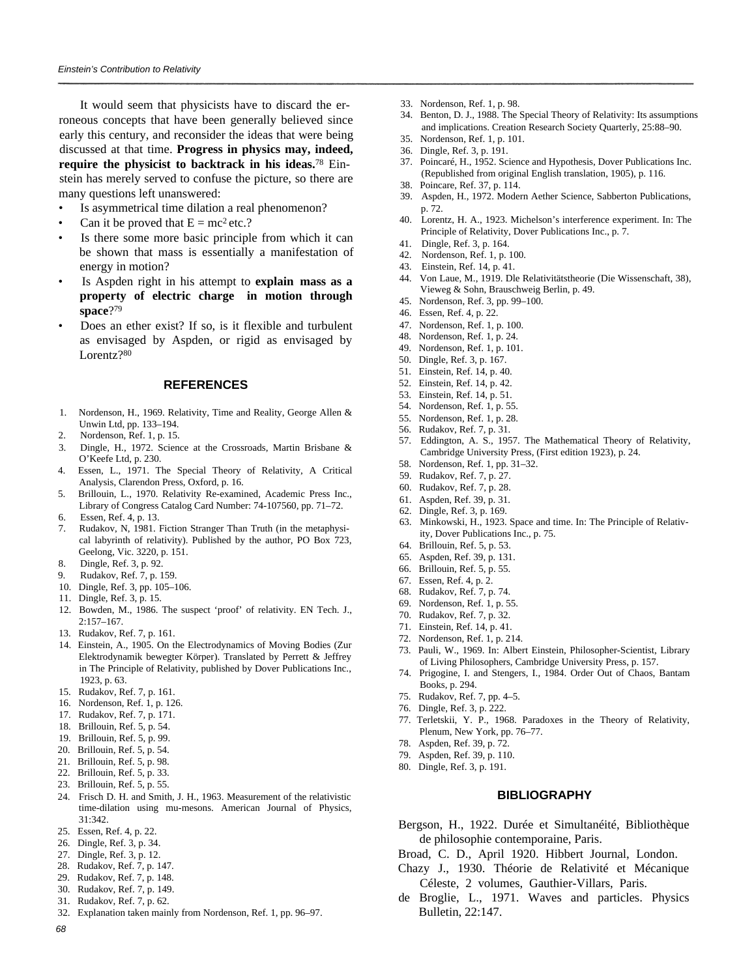It would seem that physicists have to discard the erroneous concepts that have been generally believed since early this century, and reconsider the ideas that were being discussed at that time. **Progress in physics may, indeed, require the physicist to backtrack in his ideas.**<sup>78</sup> Einstein has merely served to confuse the picture, so there are many questions left unanswered:

- Is asymmetrical time dilation a real phenomenon?
- Can it be proved that  $E = mc^2$  etc.?
- Is there some more basic principle from which it can be shown that mass is essentially a manifestation of energy in motion?
- Is Aspden right in his attempt to **explain mass as a property of electric charge in motion through space**? 79
- Does an ether exist? If so, is it flexible and turbulent as envisaged by Aspden, or rigid as envisaged by Lorentz?<sup>80</sup>

#### **REFERENCES**

- 1. Nordenson, H., 1969. Relativity, Time and Reality, George Allen & Unwin Ltd, pp. 133–194.
- 2. Nordenson, Ref. 1, p. 15.
- 3. Dingle, H., 1972. Science at the Crossroads, Martin Brisbane & O'Keefe Ltd, p. 230.
- 4. Essen, L., 1971. The Special Theory of Relativity, A Critical Analysis, Clarendon Press, Oxford, p. 16.
- 5. Brillouin, L., 1970. Relativity Re-examined, Academic Press Inc., Library of Congress Catalog Card Number: 74-107560, pp. 71–72.
- 6. Essen, Ref. 4, p. 13.
- 7. Rudakov, N, 1981. Fiction Stranger Than Truth (in the metaphysical labyrinth of relativity). Published by the author, PO Box 723, Geelong, Vic. 3220, p. 151.
- 8. Dingle, Ref. 3, p. 92.
- 9. Rudakov, Ref. 7, p. 159.
- 10. Dingle, Ref. 3, pp. 105–106.
- 11. Dingle, Ref. 3, p. 15.
- 12. Bowden, M., 1986. The suspect 'proof' of relativity. EN Tech. J., 2:157–167.
- 13. Rudakov, Ref. 7, p. 161.
- 14. Einstein, A., 1905. On the Electrodynamics of Moving Bodies (Zur Elektrodynamik bewegter Körper). Translated by Perrett & Jeffrey in The Principle of Relativity, published by Dover Publications Inc., 1923, p. 63.
- 15. Rudakov, Ref. 7, p. 161.
- 16. Nordenson, Ref. 1, p. 126.
- 17. Rudakov, Ref. 7, p. 171.
- 18. Brillouin, Ref. 5, p. 54.
- 19. Brillouin, Ref. 5, p. 99.
- 20. Brillouin, Ref. 5, p. 54.
- 21. Brillouin, Ref. 5, p. 98.
- 22. Brillouin, Ref. 5, p. 33.
- 23. Brillouin, Ref. 5, p. 55.
- 24. Frisch D. H. and Smith, J. H., 1963. Measurement of the relativistic time-dilation using mu-mesons. American Journal of Physics, 31:342.
- 25. Essen, Ref. 4, p. 22.
- 26. Dingle, Ref. 3, p. 34.
- 27. Dingle, Ref. 3, p. 12.
- 28. Rudakov, Ref. 7, p. 147.
- 29. Rudakov, Ref. 7, p. 148.
- 30. Rudakov, Ref. 7, p. 149.
- 31. Rudakov, Ref. 7, p. 62.
- 32. Explanation taken mainly from Nordenson, Ref. 1, pp. 96–97.
- 33. Nordenson, Ref. 1, p. 98.
- 34. Benton, D. J., 1988. The Special Theory of Relativity: Its assumptions and implications. Creation Research Society Quarterly, 25:88–90.
- 35. Nordenson, Ref. 1, p. 101.
- 36. Dingle, Ref. 3, p. 191.
- 37. Poincaré, H., 1952. Science and Hypothesis, Dover Publications Inc. (Republished from original English translation, 1905), p. 116. 38. Poincare, Ref. 37, p. 114.
- 
- 39. Aspden, H., 1972. Modern Aether Science, Sabberton Publications, p. 72.
- 40. Lorentz, H. A., 1923. Michelson's interference experiment. In: The Principle of Relativity, Dover Publications Inc., p. 7.
- 41. Dingle, Ref. 3, p. 164.
- 42. Nordenson, Ref. 1, p. 100.
- 43. Einstein, Ref. 14, p. 41.
- 44. Von Laue, M., 1919. Dle Relativitätstheorie (Die Wissenschaft, 38), Vieweg & Sohn, Brauschweig Berlin, p. 49.
- 45. Nordenson, Ref. 3, pp. 99–100.
- 46. Essen, Ref. 4, p. 22.
- 47. Nordenson, Ref. 1, p. 100.
- 48. Nordenson, Ref. 1, p. 24.
- 49. Nordenson, Ref. 1, p. 101.
- 50. Dingle, Ref. 3, p. 167.
- 51. Einstein, Ref. 14, p. 40.
- 52. Einstein, Ref. 14, p. 42.
- 53. Einstein, Ref. 14, p. 51.
- 54. Nordenson, Ref. 1, p. 55.
- 55. Nordenson, Ref. 1, p. 28.
- 56. Rudakov, Ref. 7, p. 31.
- 57. Eddington, A. S., 1957. The Mathematical Theory of Relativity, Cambridge University Press, (First edition 1923), p. 24.
- 58. Nordenson, Ref. 1, pp. 31–32.
- 59. Rudakov, Ref. 7, p. 27.
- 60. Rudakov, Ref. 7, p. 28.
- 61. Aspden, Ref. 39, p. 31.
- 62. Dingle, Ref. 3, p. 169.
- 63. Minkowski, H., 1923. Space and time. In: The Principle of Relativity, Dover Publications Inc., p. 75.
- 64. Brillouin, Ref. 5, p. 53.
- 65. Aspden, Ref. 39, p. 131.
- 66. Brillouin, Ref. 5, p. 55.
- 67. Essen, Ref. 4, p. 2.
- 68. Rudakov, Ref. 7, p. 74.
- 69. Nordenson, Ref. 1, p. 55. 70. Rudakov, Ref. 7, p. 32.
- 71. Einstein, Ref. 14, p. 41.
- 72. Nordenson, Ref. 1, p. 214.
- 73. Pauli, W., 1969. In: Albert Einstein, Philosopher-Scientist, Library of Living Philosophers, Cambridge University Press, p. 157.
- 74. Prigogine, I. and Stengers, I., 1984. Order Out of Chaos, Bantam Books, p. 294.
- 75. Rudakov, Ref. 7, pp. 4–5.
- 76. Dingle, Ref. 3, p. 222.
- 77. Terletskii, Y. P., 1968. Paradoxes in the Theory of Relativity, Plenum, New York, pp. 76–77.
- 78. Aspden, Ref. 39, p. 72.
- 79. Aspden, Ref. 39, p. 110.
- 80. Dingle, Ref. 3, p. 191.

#### **BIBLIOGRAPHY**

- Bergson, H., 1922. Durée et Simultanéité, Bibliothèque de philosophie contemporaine, Paris.
- Broad, C. D., April 1920. Hibbert Journal, London.
- Chazy J., 1930. Théorie de Relativité et Mécanique Céleste, 2 volumes, Gauthier-Villars, Paris.
- de Broglie, L., 1971. Waves and particles. Physics Bulletin, 22:147.